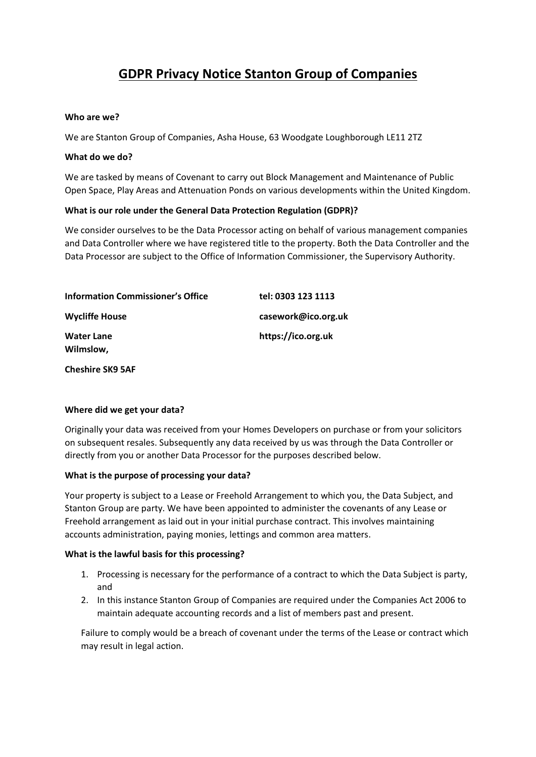# **GDPR Privacy Notice Stanton Group of Companies**

#### **Who are we?**

We are Stanton Group of Companies, Asha House, 63 Woodgate Loughborough LE11 2TZ

#### **What do we do?**

We are tasked by means of Covenant to carry out Block Management and Maintenance of Public Open Space, Play Areas and Attenuation Ponds on various developments within the United Kingdom.

#### **What is our role under the General Data Protection Regulation (GDPR)?**

We consider ourselves to be the Data Processor acting on behalf of various management companies and Data Controller where we have registered title to the property. Both the Data Controller and the Data Processor are subject to the Office of Information Commissioner, the Supervisory Authority.

| <b>Information Commissioner's Office</b> | tel: 0303 123 1113  |
|------------------------------------------|---------------------|
| <b>Wycliffe House</b>                    | casework@ico.org.uk |
| <b>Water Lane</b><br>Wilmslow,           | https://ico.org.uk  |
| <b>Cheshire SK9 5AF</b>                  |                     |

#### **Where did we get your data?**

Originally your data was received from your Homes Developers on purchase or from your solicitors on subsequent resales. Subsequently any data received by us was through the Data Controller or directly from you or another Data Processor for the purposes described below.

#### **What is the purpose of processing your data?**

Your property is subject to a Lease or Freehold Arrangement to which you, the Data Subject, and Stanton Group are party. We have been appointed to administer the covenants of any Lease or Freehold arrangement as laid out in your initial purchase contract. This involves maintaining accounts administration, paying monies, lettings and common area matters.

## **What is the lawful basis for this processing?**

- 1. Processing is necessary for the performance of a contract to which the Data Subject is party, and
- 2. In this instance Stanton Group of Companies are required under the Companies Act 2006 to maintain adequate accounting records and a list of members past and present.

Failure to comply would be a breach of covenant under the terms of the Lease or contract which may result in legal action.